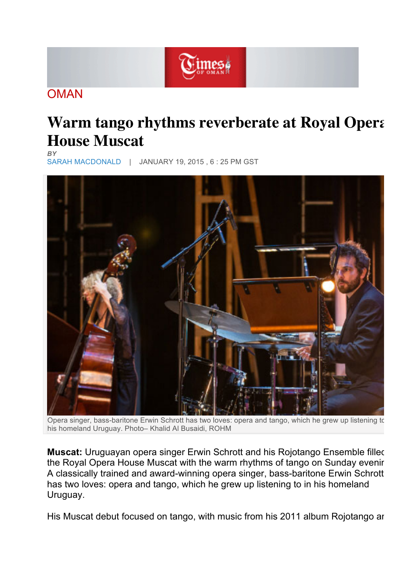

## **OMAN**

## **Warm tango rhythms reverberate at Royal Opera House Muscat** *BY*

SARAH MACDONALD | JANUARY 19, 2015 , 6 : 25 PM GST



Opera singer, bass-baritone Erwin Schrott has two loves: opera and tango, which he grew up listening to his homeland Uruguay. Photo– Khalid Al Busaidi, ROHM

**Muscat:** Uruguayan opera singer Erwin Schrott and his Rojotango Ensemble filled the Royal Opera House Muscat with the warm rhythms of tango on Sunday evenir A classically trained and award-winning opera singer, bass-baritone Erwin Schrott has two loves: opera and tango, which he grew up listening to in his homeland Uruguay.

His Muscat debut focused on tango, with music from his 2011 album Rojotango ard